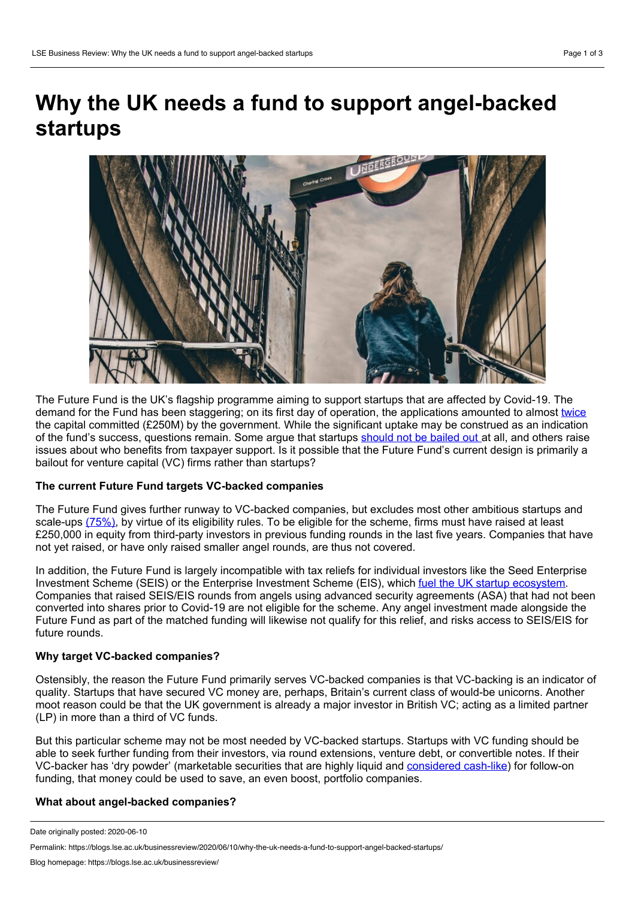# **Why the UK needs a fund to support angel-backed startups**



The Future Fund is the UK's flagship programme aiming to support startups that are affected by Covid-19. The demand for the Fund has been staggering; on its first day of operation, the applications amounted to almost [twice](https://news.sky.com/story/coronavirus-tech-companies-go-back-to-the-future-fund-for-450m-11991865) the capital committed (£250M) by the government. While the significant uptake may be construed as an indication of the fund's success, questions remain. Some argue that startups [should](https://sifted.eu/articles/startup-bailout-uk/) not be bailed out at all, and others raise issues about who benefits from taxpayer support. Is it possible that the Future Fund's current design is primarily a bailout for venture capital (VC) firms rather than startups?

# **The current Future Fund targets VC-backed companies**

The Future Fund gives further runway to VC-backed companies, but excludes most other ambitious startups and scale-ups [\(75%\)](https://about.beauhurst.com/blog/our-quick-take-on-the-future-fund/), by virtue of its eligibility rules. To be eligible for the scheme, firms must have raised at least £250,000 in equity from third-party investors in previous funding rounds in the last five years. Companies that have not yet raised, or have only raised smaller angel rounds, are thus not covered.

In addition, the Future Fund is largely incompatible with tax reliefs for individual investors like the Seed Enterprise Investment Scheme (SEIS) or the Enterprise Investment Scheme (EIS), which fuel the UK startup [ecosystem.](https://about.beauhurst.com/blog/what-percentage-of-deals-are-made-under-eis/) Companies that raised SEIS/EIS rounds from angels using advanced security agreements (ASA) that had not been converted into shares prior to Covid-19 are not eligible for the scheme. Any angel investment made alongside the Future Fund as part of the matched funding will likewise not qualify for this relief, and risks access to SEIS/EIS for future rounds.

## **Why target VC-backed companies?**

Ostensibly, the reason the Future Fund primarily serves VC-backed companies is that VC-backing is an indicator of quality. Startups that have secured VC money are, perhaps, Britain's current class of would-be unicorns. Another moot reason could be that the UK government is already a major investor in British VC; acting as a limited partner (LP) in more than a third of VC funds.

But this particular scheme may not be most needed by VC-backed startups. Startups with VC funding should be able to seek further funding from their investors, via round extensions, venture debt, or convertible notes. If their VC-backer has 'dry powder' (marketable securities that are highly liquid and [considered](https://www.investopedia.com/terms/d/drypowder.asp) cash-like) for follow-on funding, that money could be used to save, an even boost, portfolio companies.

## **What about angel-backed companies?**

Date originally posted: 2020-06-10

Permalink: https://blogs.lse.ac.uk/businessreview/2020/06/10/why-the-uk-needs-a-fund-to-support-angel-backed-startups/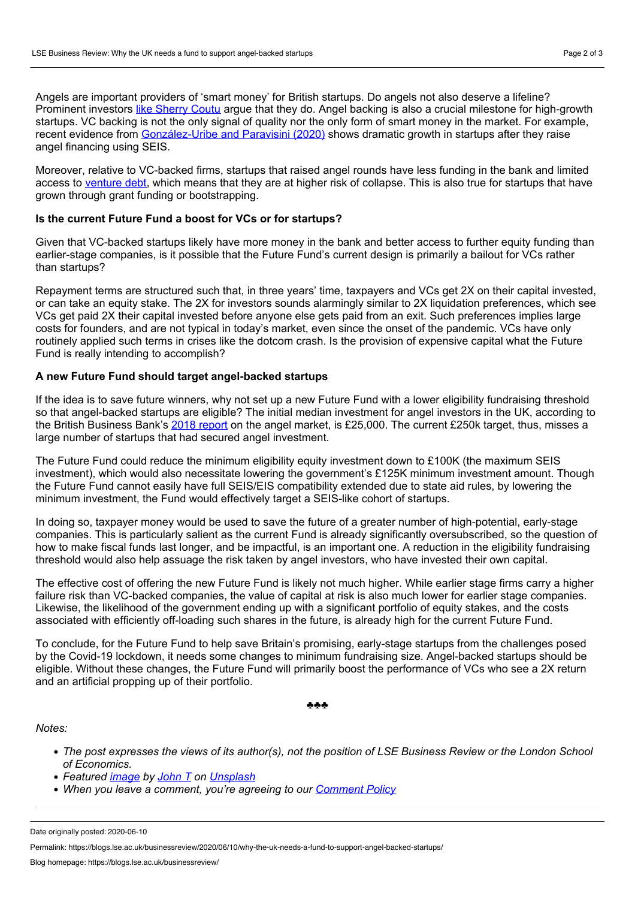Angels are important providers of 'smart money' for British startups. Do angels not also deserve a lifeline? Prominent investors like [Sherry](https://www.thetimes.co.uk/article/what-can-the-chancellor-do-to-save-our-start-ups-rpch085xp) Coutu argue that they do. Angel backing is also a crucial milestone for high-growth startups. VC backing is not the only signal of quality nor the only form of smart money in the market. For example, recent evidence from [González-Uribe](https://juanitagonzalez-uribe.net/portfolio_page/how-sensitive-is-young-firm-investment-to-the-cost-of-outside-equity-evidence-from-a-uk-tax-relief-joint-with-daniel-paravisini/) and Paravisini (2020) shows dramatic growth in startups after they raise angel financing using SEIS.

Moreover, relative to VC-backed firms, startups that raised angel rounds have less funding in the bank and limited access to [venture](http://www.fmaconferences.org/Napa/2018/Papers/VL_Napa.pdf) debt, which means that they are at higher risk of collapse. This is also true for startups that have grown through grant funding or bootstrapping.

#### **Is the current Future Fund a boost for VCs or for startups?**

Given that VC-backed startups likely have more money in the bank and better access to further equity funding than earlier-stage companies, is it possible that the Future Fund's current design is primarily a bailout for VCs rather than startups?

Repayment terms are structured such that, in three years' time, taxpayers and VCs get 2X on their capital invested, or can take an equity stake. The 2X for investors sounds alarmingly similar to 2X liquidation preferences, which see VCs get paid 2X their capital invested before anyone else gets paid from an exit. Such preferences implies large costs for founders, and are not typical in today's market, even since the onset of the pandemic. VCs have only routinely applied such terms in crises like the dotcom crash. Is the provision of expensive capital what the Future Fund is really intending to accomplish?

#### **A new Future Fund should target angel-backed startups**

If the idea is to save future winners, why not set up a new Future Fund with a lower eligibility fundraising threshold so that angel-backed startups are eligible? The initial median investment for angel investors in the UK, according to the British Business Bank's 2018 [report](https://www.british-business-bank.co.uk/wp-content/uploads/2018/06/Business-Angel-Reportweb.pdf) on the angel market, is £25,000. The current £250k target, thus, misses a large number of startups that had secured angel investment.

The Future Fund could reduce the minimum eligibility equity investment down to £100K (the maximum SEIS investment), which would also necessitate lowering the government's £125K minimum investment amount. Though the Future Fund cannot easily have full SEIS/EIS compatibility extended due to state aid rules, by lowering the minimum investment, the Fund would effectively target a SEIS-like cohort of startups.

In doing so, taxpayer money would be used to save the future of a greater number of high-potential, early-stage companies. This is particularly salient as the current Fund is already significantly oversubscribed, so the question of how to make fiscal funds last longer, and be impactful, is an important one. A reduction in the eligibility fundraising threshold would also help assuage the risk taken by angel investors, who have invested their own capital.

The effective cost of offering the new Future Fund is likely not much higher. While earlier stage firms carry a higher failure risk than VC-backed companies, the value of capital at risk is also much lower for earlier stage companies. Likewise, the likelihood of the government ending up with a significant portfolio of equity stakes, and the costs associated with efficiently off-loading such shares in the future, is already high for the current Future Fund.

To conclude, for the Future Fund to help save Britain's promising, early-stage startups from the challenges posed by the Covid-19 lockdown, it needs some changes to minimum fundraising size. Angel-backed startups should be eligible. Without these changes, the Future Fund will primarily boost the performance of VCs who see a 2X return and an artificial propping up of their portfolio.

```
♣♣♣
```
#### *Notes:*

- The post expresses the views of its author(s), not the position of LSE Business Review or the London School *of Economics.*
- *Featured [image](https://unsplash.com/photos/5KEdogagd88) by [John](https://unsplash.com/@john_visualz?utm_source=unsplash&utm_medium=referral&utm_content=creditCopyText) T on [Unsplash](https://unsplash.com/?utm_source=unsplash&utm_medium=referral&utm_content=creditCopyText)*
- *When you leave a comment, you're agreeing to our [Comment](https://blogs.lse.ac.uk/businessreview/comment-policy/) Policy*

Date originally posted: 2020-06-10

Permalink: https://blogs.lse.ac.uk/businessreview/2020/06/10/why-the-uk-needs-a-fund-to-support-angel-backed-startups/